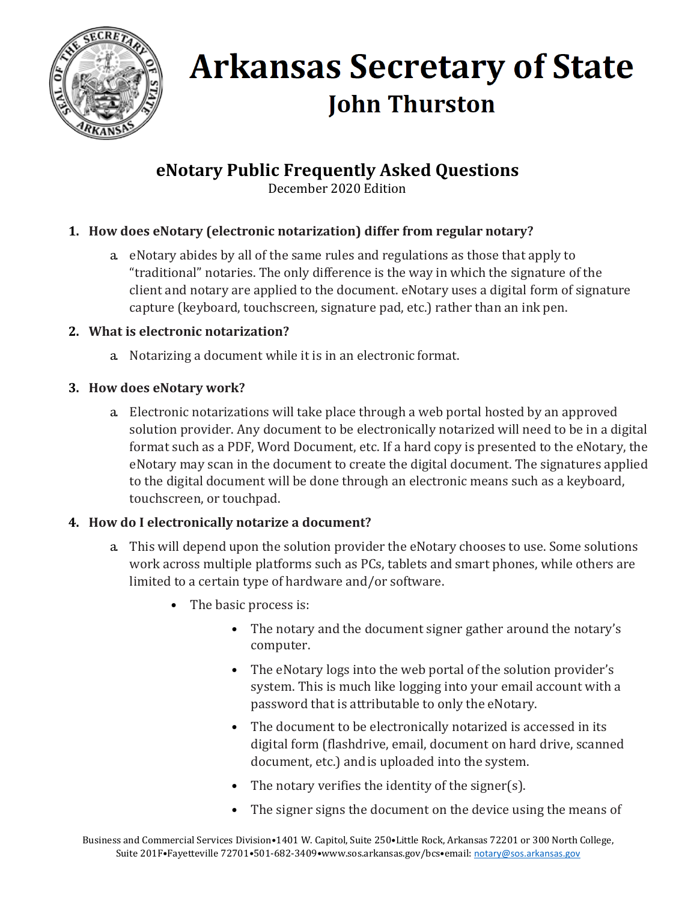

**eNotary Public Frequently Asked Questions**

December 2020 Edition

### **1. How does eNotary (electronic notarization) differ from regular notary?**

a. eNotary abides by all of the same rules and regulations as those that apply to "traditional" notaries. The only difference is the way in which the signature of the client and notary are applied to the document. eNotary uses a digital form of signature capture (keyboard, touchscreen, signature pad, etc.) rather than an ink pen.

### **2. What is electronic notarization?**

- a. Notarizing a document while it is in an electronic format.
- **3. How does eNotary work?**
	- a. Electronic notarizations will take place through a web portal hosted by an approved solution provider. Any document to be electronically notarized will need to be in a digital format such as a PDF, Word Document, etc. If a hard copy is presented to the eNotary, the eNotary may scan in the document to create the digital document. The signatures applied to the digital document will be done through an electronic means such as a keyboard, touchscreen, or touchpad.

## **4. How do I electronically notarize a document?**

- a. This will depend upon the solution provider the eNotary chooses to use. Some solutions work across multiple platforms such as PCs, tablets and smart phones, while others are limited to a certain type of hardware and/or software.
	- The basic process is:
		- The notary and the document signer gather around the notary's computer.
		- The eNotary logs into the web portal of the solution provider's system. This is much like logging into your email account with a password that is attributable to only the eNotary.
		- The document to be electronically notarized is accessed in its digital form (flashdrive, email, document on hard drive, scanned document, etc.) andis uploaded into the system.
		- The notary verifies the identity of the signer(s).
		- The signer signs the document on the device using the means of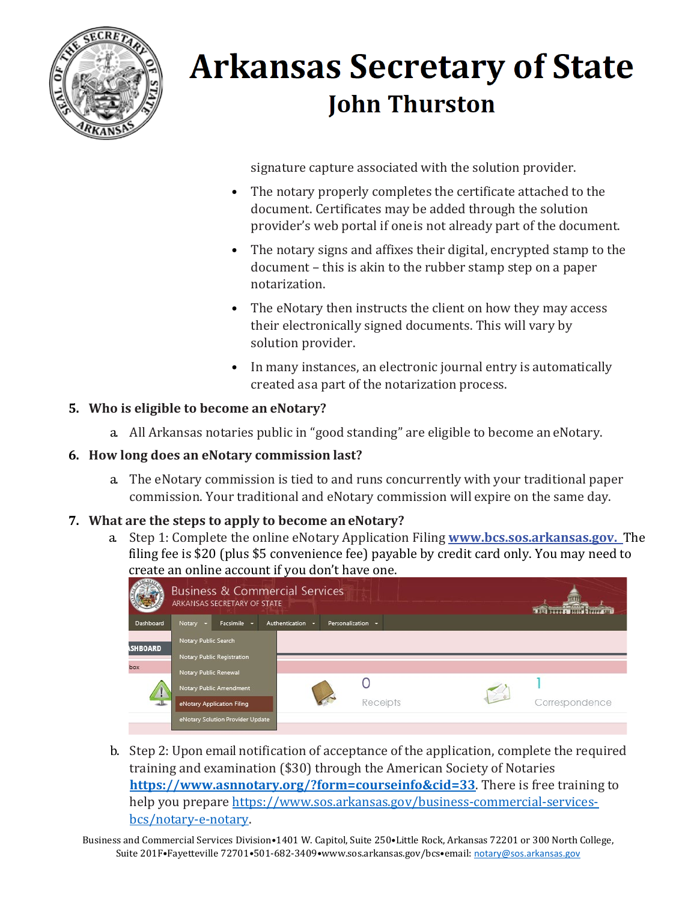

signature capture associated with the solution provider.

- The notary properly completes the certificate attached to the document. Certificates may be added through the solution provider's web portal if oneis not already part of the document.
- The notary signs and affixes their digital, encrypted stamp to the document – this is akin to the rubber stamp step on a paper notarization.
- The eNotary then instructs the client on how they may access their electronically signed documents. This will vary by solution provider.
- In many instances, an electronic journal entry is automatically created asa part of the notarization process.

#### **5. Who is eligible to become an eNotary?**

a. All Arkansas notaries public in "good standing" are eligible to become aneNotary.

#### **6. How long does an eNotary commission last?**

a. The eNotary commission is tied to and runs concurrently with your traditional paper commission. Your traditional and eNotary commission will expire on the same day.

#### **7. What are the steps to apply to become an eNotary?**

a. Step 1: Complete the online eNotary Application Filing **[www.bcs.sos.arkansas.gov.](http://www.bcs.sos.arkansas.gov/)** The filing fee is \$20 (plus \$5 convenience fee) payable by credit card only. You may need to create an online account if you don't have one.

|                       | <b>Business &amp; Commercial Services</b><br>ARKANSAS SECRETARY OF STATE |                  |                   |  |                |
|-----------------------|--------------------------------------------------------------------------|------------------|-------------------|--|----------------|
| Dashboard             | Facsimile -<br>Notary -                                                  | Authentication - | Personalization - |  |                |
| <b><i>SHBOARD</i></b> | Notary Public Search                                                     |                  |                   |  |                |
|                       | Notary Public Registration                                               |                  |                   |  |                |
| box                   | Notary Public Renewal                                                    |                  |                   |  |                |
|                       | Notary Public Amendment                                                  |                  |                   |  |                |
|                       | eNotary Application Filing                                               |                  | Receipts          |  | Correspondence |
|                       | eNotary Solution Provider Update                                         |                  |                   |  |                |

b. Step 2: Upon email notification of acceptance of the application, complete the required training and examination (\$30) through the American Society of Notaries **<https://www.asnnotary.org/?form=courseinfo&cid=33>**. There is free training to help you prepare [https://www.sos.arkansas.gov/business-commercial-services](https://www.sos.arkansas.gov/business-commercial-services-bcs/notary-e-notary)[bcs/notary-e-notary.](https://www.sos.arkansas.gov/business-commercial-services-bcs/notary-e-notary)

Business and Commercial Services Division•1401 W. Capitol, Suite 250•Little Rock, Arkansas 72201 or 300 North College, Suite 201F•Fayetteville 72701•501-682-3409•www.sos.arkansas.gov/bcs•email: [notary@sos.arkansas.gov](mailto:notary@sos.arkansas.gov)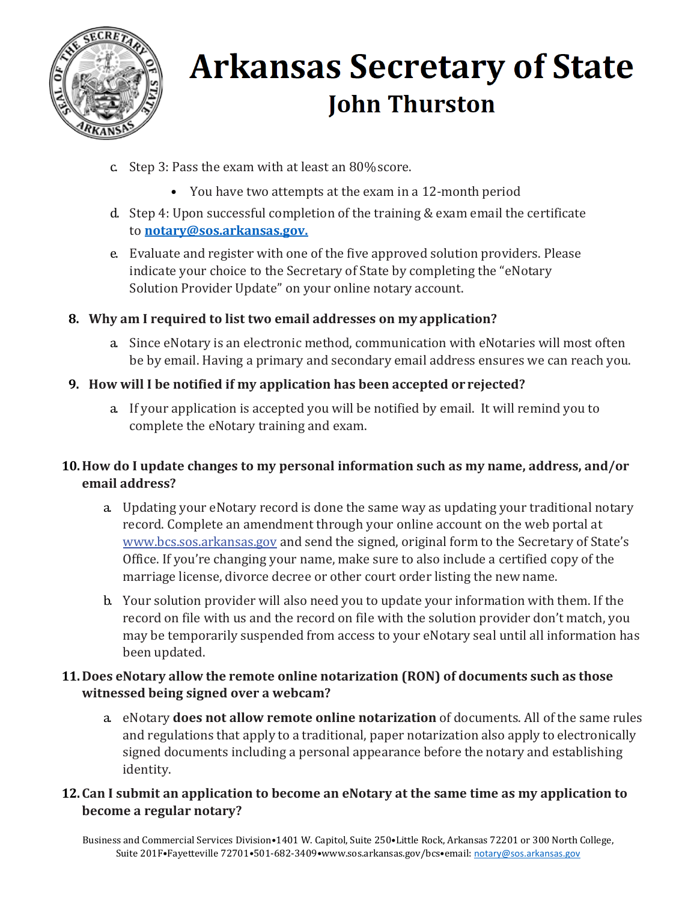

- c. Step 3: Pass the exam with at least an 80%score.
	- You have two attempts at the exam in a 12-month period
- d. Step 4: Upon successful completion of the training & exam email the certificate to **[notary@sos.arkansas.gov.](mailto:notary@sos.arkansas.gov.)**
- e. Evaluate and register with one of the five approved solution providers. Please indicate your choice to the Secretary of State by completing the "eNotary Solution Provider Update" on your online notary account.
- **8. Why am I required to list two email addresses on my application?**
	- a. Since eNotary is an electronic method, communication with eNotaries will most often be by email. Having a primary and secondary email address ensures we can reach you.
- **9. How will I be notified if my application has been accepted or rejected?**
	- a. If your application is accepted you will be notified by email. It will remind you to complete the eNotary training and exam.

### **10.How do I update changes to my personal information such as my name, address, and/or email address?**

- a. Updating your eNotary record is done the same way as updating your traditional notary record. Complete an amendment through your online account on the web portal at [www.bcs.sos.arkansas.gov](http://www.bcs.sos.arkansas.gov/) and send the signed, original form to the Secretary of State's Office. If you're changing your name, make sure to also include a certified copy of the marriage license, divorce decree or other court order listing the newname.
- b. Your solution provider will also need you to update your information with them. If the record on file with us and the record on file with the solution provider don't match, you may be temporarily suspended from access to your eNotary seal until all information has been updated.

### **11.Does eNotary allow the remote online notarization (RON) of documents such as those witnessed being signed over a webcam?**

- a. eNotary **does not allow remote online notarization** of documents. All of the same rules and regulations that apply to a traditional, paper notarization also apply to electronically signed documents including a personal appearance before the notary and establishing identity.
- **12.Can I submit an application to become an eNotary at the same time as my application to become a regular notary?**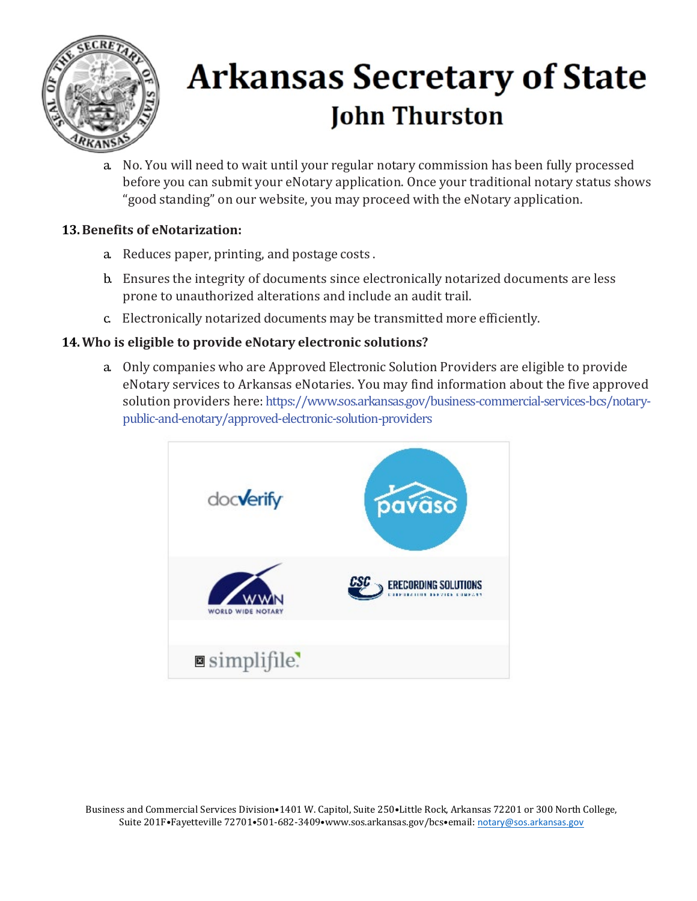

a. No. You will need to wait until your regular notary commission has been fully processed before you can submit your eNotary application. Once your traditional notary status shows "good standing" on our website, you may proceed with the eNotary application.

#### **13.Benefits of eNotarization:**

- a. Reduces paper, printing, and postage costs .
- b. Ensures the integrity of documents since electronically notarized documents are less prone to unauthorized alterations and include an audit trail.
- c. Electronically notarized documents may be transmitted more efficiently.

#### **14.Who is eligible to provide eNotary electronic solutions?**

a. Only companies who are Approved Electronic Solution Providers are eligible to provide eNotary services to Arkansas eNotaries. You may find information about the five approved solution providers here: https://www.sos.arkansas.gov/business-commercial-services-bcs/notarypublic-and-enotary/approved-electronic-solution-providers



Business and Commercial Services Division•1401 W. Capitol, Suite 250•Little Rock, Arkansas 72201 or 300 North College, Suite 201F•Fayetteville 72701•501-682-3409•www.sos.arkansas.gov/bcs•email: [notary@sos.arkansas.gov](mailto:notary@sos.arkansas.gov)